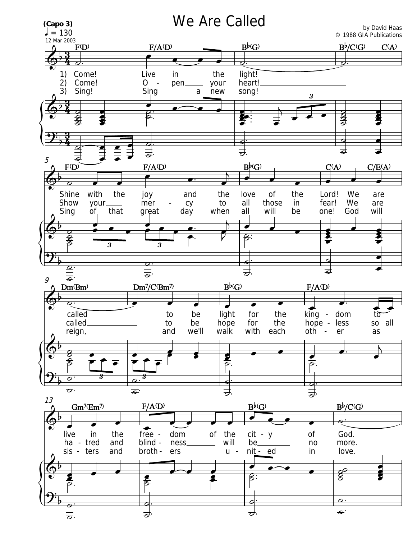